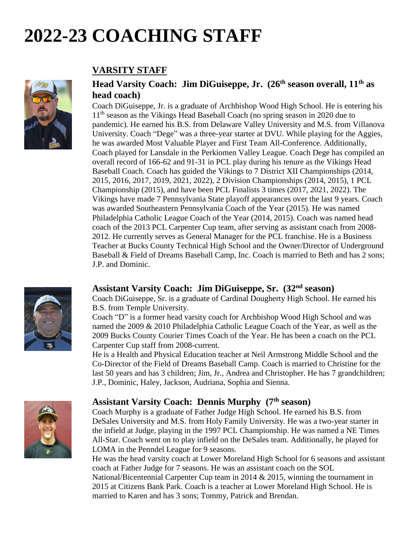# **2022-23 COACHING STAFF**



### **VARSITY STAFF**

#### **Head Varsity Coach: Jim DiGuiseppe, Jr. (26 th season overall, 11th as head coach)**

Coach DiGuiseppe, Jr. is a graduate of Archbishop Wood High School. He is entering his 11<sup>th</sup> season as the Vikings Head Baseball Coach (no spring season in 2020 due to pandemic). He earned his B.S. from Delaware Valley University and M.S. from Villanova University. Coach "Dege" was a three-year starter at DVU. While playing for the Aggies, he was awarded Most Valuable Player and First Team All-Conference. Additionally, Coach played for Lansdale in the Perkiomen Valley League. Coach Dege has compiled an overall record of 166-62 and 91-31 in PCL play during his tenure as the Vikings Head Baseball Coach. Coach has guided the Vikings to 7 District XII Championships (2014, 2015, 2016, 2017, 2019, 2021, 2022), 2 Division Championships (2014, 2015), 1 PCL Championship (2015), and have been PCL Finalists 3 times (2017, 2021, 2022). The Vikings have made 7 Pennsylvania State playoff appearances over the last 9 years. Coach was awarded Southeastern Pennsylvania Coach of the Year (2015). He was named Philadelphia Catholic League Coach of the Year (2014, 2015). Coach was named head coach of the 2013 PCL Carpenter Cup team, after serving as assistant coach from 2008- 2012. He currently serves as General Manager for the PCL franchise. He is a Business Teacher at Bucks County Technical High School and the Owner/Director of Underground Baseball & Field of Dreams Baseball Camp, Inc. Coach is married to Beth and has 2 sons; J.P. and Dominic.

#### **Assistant Varsity Coach: Jim DiGuiseppe, Sr. (32 nd season)**

Coach DiGuiseppe, Sr. is a graduate of Cardinal Dougherty High School. He earned his B.S. from Temple University.

Coach "D" is a former head varsity coach for Archbishop Wood High School and was named the 2009 & 2010 Philadelphia Catholic League Coach of the Year, as well as the 2009 Bucks County Courier Times Coach of the Year. He has been a coach on the PCL Carpenter Cup staff from 2008-current.

He is a Health and Physical Education teacher at Neil Armstrong Middle School and the Co-Director of the Field of Dreams Baseball Camp. Coach is married to Christine for the last 50 years and has 3 children; Jim, Jr., Andrea and Christopher. He has 7 grandchildren; J.P., Dominic, Haley, Jackson, Audriana, Sophia and Sienna.



#### **Assistant Varsity Coach: Dennis Murphy (7 th season)**

Coach Murphy is a graduate of Father Judge High School. He earned his B.S. from DeSales University and M.S. from Holy Family University. He was a two-year starter in the infield at Judge, playing in the 1997 PCL Championship. He was named a NE Times All-Star. Coach went on to play infield on the DeSales team. Additionally, he played for LOMA in the Penndel League for 9 seasons.

He was the head varsity coach at Lower Moreland High School for 6 seasons and assistant coach at Father Judge for 7 seasons. He was an assistant coach on the SOL

National/Bicentennial Carpenter Cup team in 2014 & 2015, winning the tournament in 2015 at Citizens Bank Park. Coach is a teacher at Lower Moreland High School. He is married to Karen and has 3 sons; Tommy, Patrick and Brendan.

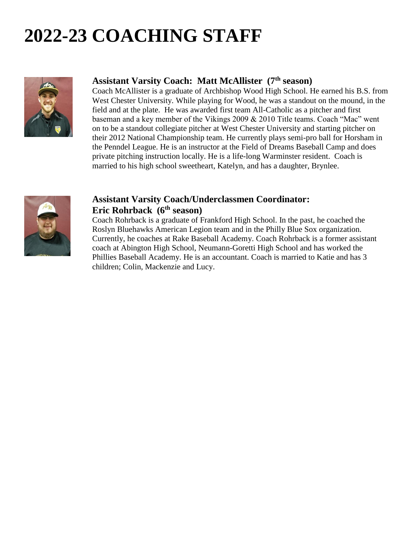# **2022-23 COACHING STAFF**



#### **Assistant Varsity Coach: Matt McAllister (7 th season)**

Coach McAllister is a graduate of Archbishop Wood High School. He earned his B.S. from West Chester University. While playing for Wood, he was a standout on the mound, in the field and at the plate. He was awarded first team All-Catholic as a pitcher and first baseman and a key member of the Vikings 2009 & 2010 Title teams. Coach "Mac" went on to be a standout collegiate pitcher at West Chester University and starting pitcher on their 2012 National Championship team. He currently plays semi-pro ball for Horsham in the Penndel League. He is an instructor at the Field of Dreams Baseball Camp and does private pitching instruction locally. He is a life-long Warminster resident. Coach is married to his high school sweetheart, Katelyn, and has a daughter, Brynlee.



#### **Assistant Varsity Coach/Underclassmen Coordinator: Eric Rohrback (6 th season)**

Coach Rohrback is a graduate of Frankford High School. In the past, he coached the Roslyn Bluehawks American Legion team and in the Philly Blue Sox organization. Currently, he coaches at Rake Baseball Academy. Coach Rohrback is a former assistant coach at Abington High School, Neumann-Goretti High School and has worked the Phillies Baseball Academy. He is an accountant. Coach is married to Katie and has 3 children; Colin, Mackenzie and Lucy.